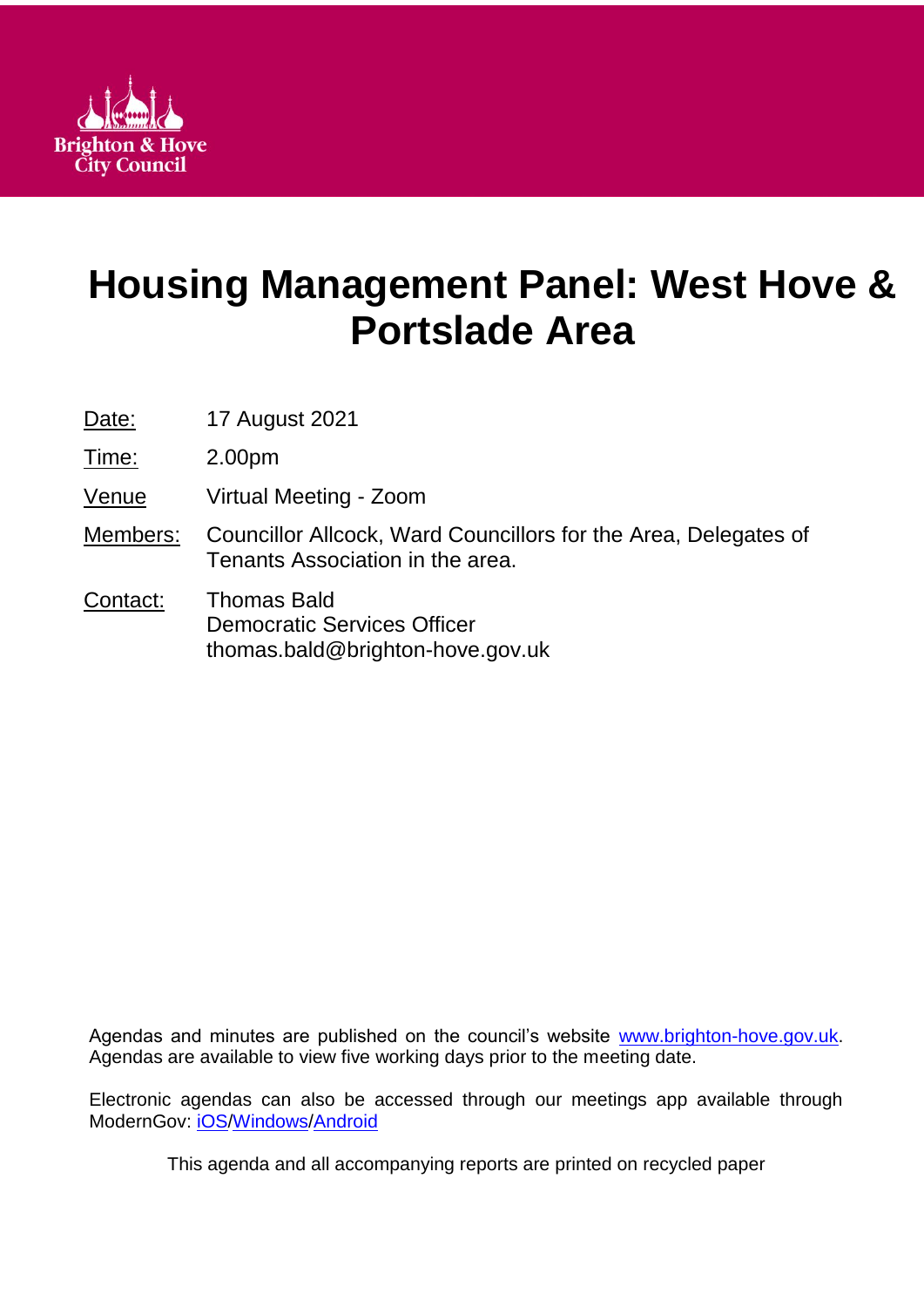

# **Housing Management Panel: West Hove & Portslade Area**

Date: **17 August 2021** 

Time: 2.00pm

Venue Virtual Meeting - Zoom

- Members: Councillor Allcock, Ward Councillors for the Area, Delegates of Tenants Association in the area.
- Contact: Thomas Bald Democratic Services Officer thomas.bald@brighton-hove.gov.uk

Agendas and minutes are published on the council's website [www.brighton-hove.gov.uk.](http://www.brighton-hove.gov.uk/) Agendas are available to view five working days prior to the meeting date.

Electronic agendas can also be accessed through our meetings app available through ModernGov: [iOS](https://play.google.com/store/apps/details?id=uk.co.moderngov.modgov&hl=en_GB)[/Windows/](https://www.microsoft.com/en-gb/p/modgov/9nblggh0c7s7#activetab=pivot:overviewtab)[Android](https://play.google.com/store/apps/details?id=uk.co.moderngov.modgov&hl=en_GB)

This agenda and all accompanying reports are printed on recycled paper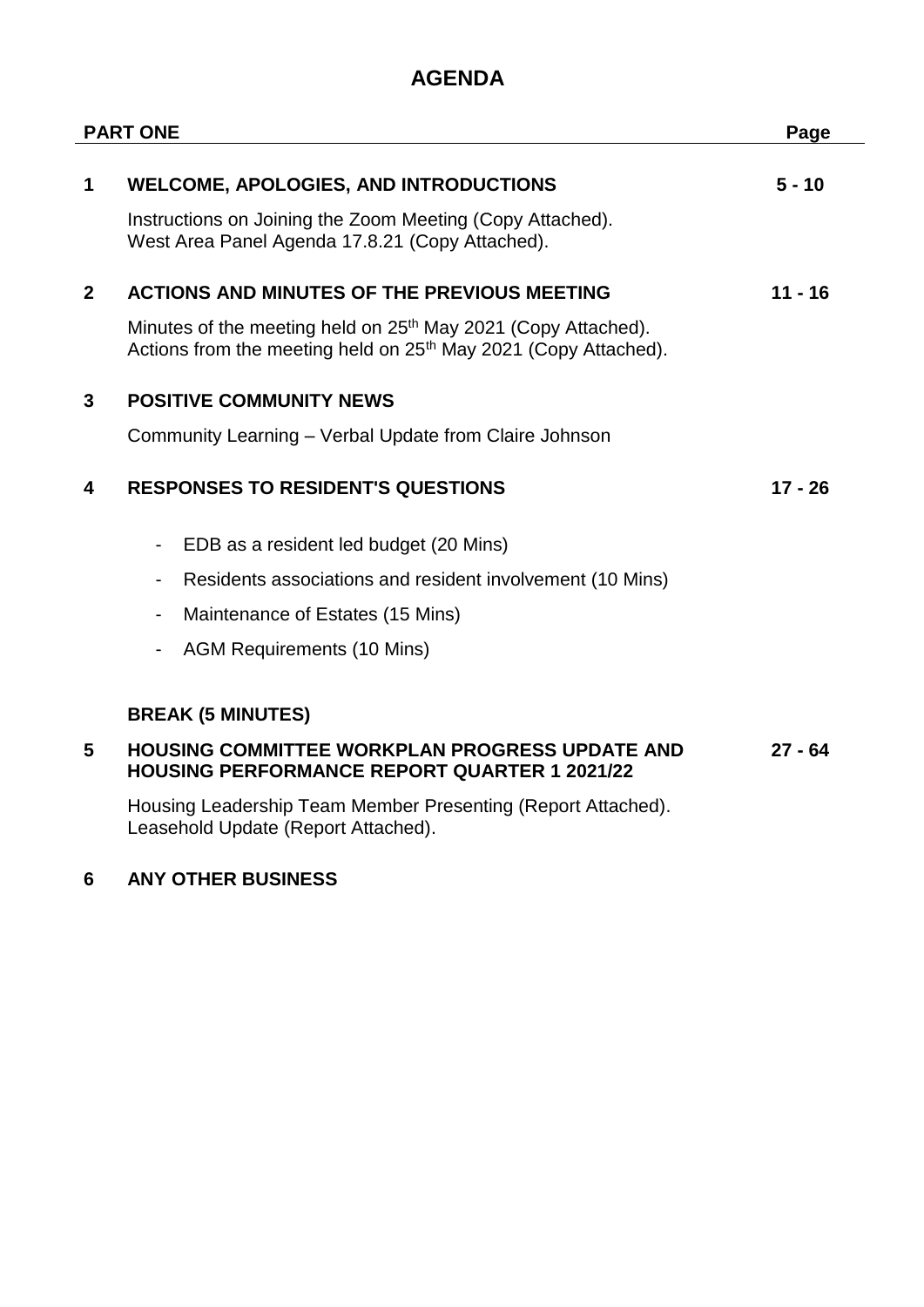## **AGENDA**

| <b>PART ONE</b> |                                                                                                                                                          | Page      |
|-----------------|----------------------------------------------------------------------------------------------------------------------------------------------------------|-----------|
| 1               | <b>WELCOME, APOLOGIES, AND INTRODUCTIONS</b>                                                                                                             | $5 - 10$  |
|                 | Instructions on Joining the Zoom Meeting (Copy Attached).<br>West Area Panel Agenda 17.8.21 (Copy Attached).                                             |           |
| $\overline{2}$  | <b>ACTIONS AND MINUTES OF THE PREVIOUS MEETING</b>                                                                                                       | $11 - 16$ |
|                 | Minutes of the meeting held on 25 <sup>th</sup> May 2021 (Copy Attached).<br>Actions from the meeting held on 25 <sup>th</sup> May 2021 (Copy Attached). |           |
| 3               | <b>POSITIVE COMMUNITY NEWS</b>                                                                                                                           |           |
|                 | Community Learning – Verbal Update from Claire Johnson                                                                                                   |           |
| 4               | <b>RESPONSES TO RESIDENT'S QUESTIONS</b>                                                                                                                 | $17 - 26$ |
|                 | EDB as a resident led budget (20 Mins)                                                                                                                   |           |
|                 | Residents associations and resident involvement (10 Mins)<br>$\overline{\phantom{a}}$                                                                    |           |
|                 | Maintenance of Estates (15 Mins)<br>$\overline{\phantom{a}}$                                                                                             |           |
|                 | <b>AGM Requirements (10 Mins)</b><br>٠                                                                                                                   |           |
|                 | <b>BREAK (5 MINUTES)</b>                                                                                                                                 |           |
| 5               | <b>HOUSING COMMITTEE WORKPLAN PROGRESS UPDATE AND</b><br><b>HOUSING PERFORMANCE REPORT QUARTER 1 2021/22</b>                                             | $27 - 64$ |
|                 | Housing Leadership Team Member Presenting (Report Attached).<br>Leasehold Update (Report Attached).                                                      |           |

### **6 ANY OTHER BUSINESS**